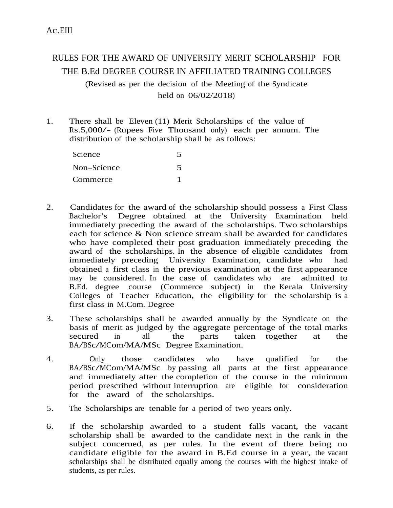## RULES FOR THE AWARD OF UNIVERSITY MERIT SCHOLARSHIP FOR THE B.Ed DEGREE COURSE IN AFFILIATED TRAINING COLLEGES (Revised as per the decision of the Meeting of the Syndicate

held on 06/02/2018)

1. There shall be Eleven (11) Merit Scholarships of the value of Rs.5,000/- (Rupees Five Thousand only) each per annum. The distribution of the scholarship shall be as follows:

| Science     |  |
|-------------|--|
| Non-Science |  |
| Commerce    |  |

- 2. Candidates for the award of the scholarship should possess a First Class Bachelor's Degree obtained at the University Examination held immediately preceding the award of the scholarships. Two scholarships each for science & Non science stream shall be awarded for candidates who have completed their post graduation immediately preceding the award of the scholarships. In the absence of eligible candidates from immediately preceding University Examination, candidate who had obtained a first class in the previous examination at the first appearance may be considered. In the case of candidates who are admitted to B.Ed. degree course (Commerce subject) in the Kerala University Colleges of Teacher Education, the eligibility for the scholarship is a first class in M.Com. Degree
- 3. These scholarships shall be awarded annually by the Syndicate on the basis of merit as judged by the aggregate percentage of the total marks secured in all the parts taken together at the secured in all the parts taken<br>BA/BSc/MCom/MA/MSc Degree-Examination.
- 4. Only those candidates who have qualified for the BA/BSc/MCom/MA/MSc by passing all parts at the first appearance and immediately after the completion of the course in the minimum period prescribed without interruption are eligible for consideration for the award of the scholarships.
- 5. The Scholarships are tenable for a period of two years only.
- 6. If the scholarship awarded to a student falls vacant, the vacant scholarship shall be awarded to the candidate next in the rank in the subject concerned, as per rules. In the event of there being no candidate eligible for the award in B.Ed course in a year, the vacant scholarships shall be distributed equally among the courses with the highest intake of students, as per rules.